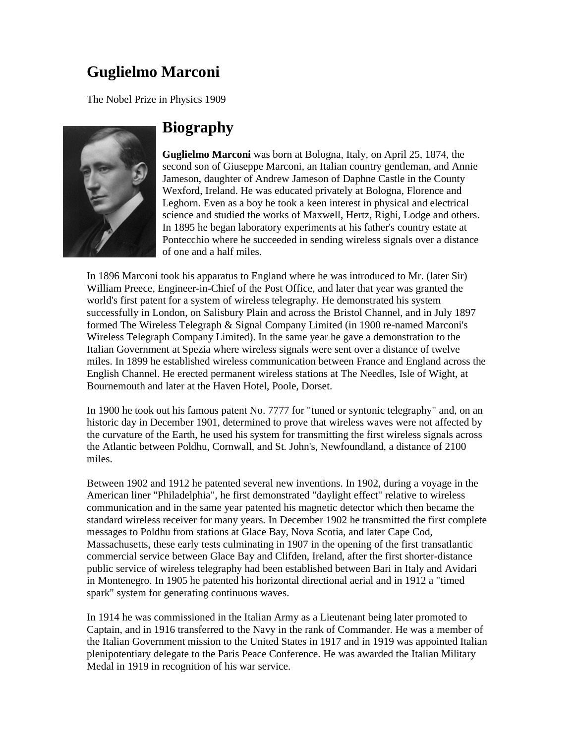## **Guglielmo Marconi**

The Nobel Prize in Physics 1909



## **Biography**

**Guglielmo Marconi** was born at Bologna, Italy, on April 25, 1874, the second son of Giuseppe Marconi, an Italian country gentleman, and Annie Jameson, daughter of Andrew Jameson of Daphne Castle in the County Wexford, Ireland. He was educated privately at Bologna, Florence and Leghorn. Even as a boy he took a keen interest in physical and electrical science and studied the works of Maxwell, Hertz, Righi, Lodge and others. In 1895 he began laboratory experiments at his father's country estate at Pontecchio where he succeeded in sending wireless signals over a distance of one and a half miles.

In 1896 Marconi took his apparatus to England where he was introduced to Mr. (later Sir) William Preece, Engineer-in-Chief of the Post Office, and later that year was granted the world's first patent for a system of wireless telegraphy. He demonstrated his system successfully in London, on Salisbury Plain and across the Bristol Channel, and in July 1897 formed The Wireless Telegraph & Signal Company Limited (in 1900 re-named Marconi's Wireless Telegraph Company Limited). In the same year he gave a demonstration to the Italian Government at Spezia where wireless signals were sent over a distance of twelve miles. In 1899 he established wireless communication between France and England across the English Channel. He erected permanent wireless stations at The Needles, Isle of Wight, at Bournemouth and later at the Haven Hotel, Poole, Dorset.

In 1900 he took out his famous patent No. 7777 for "tuned or syntonic telegraphy" and, on an historic day in December 1901, determined to prove that wireless waves were not affected by the curvature of the Earth, he used his system for transmitting the first wireless signals across the Atlantic between Poldhu, Cornwall, and St. John's, Newfoundland, a distance of 2100 miles.

Between 1902 and 1912 he patented several new inventions. In 1902, during a voyage in the American liner "Philadelphia", he first demonstrated "daylight effect" relative to wireless communication and in the same year patented his magnetic detector which then became the standard wireless receiver for many years. In December 1902 he transmitted the first complete messages to Poldhu from stations at Glace Bay, Nova Scotia, and later Cape Cod, Massachusetts, these early tests culminating in 1907 in the opening of the first transatlantic commercial service between Glace Bay and Clifden, Ireland, after the first shorter-distance public service of wireless telegraphy had been established between Bari in Italy and Avidari in Montenegro. In 1905 he patented his horizontal directional aerial and in 1912 a "timed spark" system for generating continuous waves.

In 1914 he was commissioned in the Italian Army as a Lieutenant being later promoted to Captain, and in 1916 transferred to the Navy in the rank of Commander. He was a member of the Italian Government mission to the United States in 1917 and in 1919 was appointed Italian plenipotentiary delegate to the Paris Peace Conference. He was awarded the Italian Military Medal in 1919 in recognition of his war service.